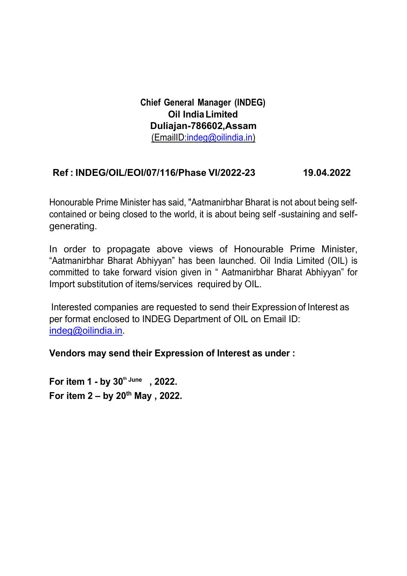**Chief General Manager (INDEG) Oil IndiaLimited Duliajan-786602,Assam** (EmailID:indeg@oilindia.in)

# **Ref : INDEG/OIL/EOI/07/116/Phase VI/2022-23 19.04.2022**

Honourable Prime Minister has said, "Aatmanirbhar Bharat is not about being selfcontained or being closed to the world, it is about being self -sustaining and selfgenerating.

In order to propagate above views of Honourable Prime Minister, "Aatmanirbhar Bharat Abhiyyan" has been launched. Oil India Limited (OIL) is committed to take forward vision given in " Aatmanirbhar Bharat Abhiyyan" for Import substitution of items/services required by OIL.

Interested companies are requested to send their Expression of Interest as per format enclosed to INDEG Department of OIL on Email ID: [indeg@oilindia.in.](mailto:indeg@oilindia.in)

## **Vendors may send their Expression of Interest as under :**

**For item 1 - by 30<sup>th</sup> June, 2022. For item 2 – by 20th May , 2022.**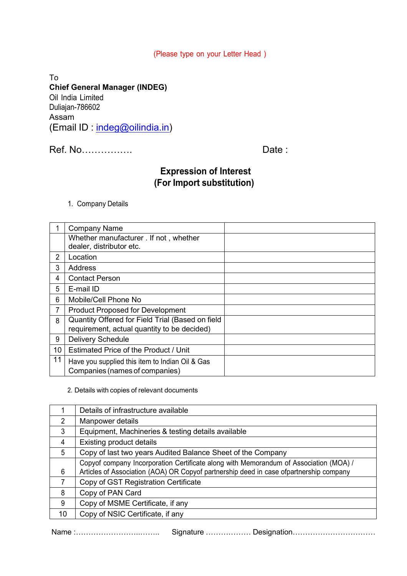#### (Please type on your Letter Head )

To **Chief General Manager (INDEG)** Oil India Limited Duliajan-786602 Assam (Email ID : indeg@oilindia.in)

Ref. No……………. Date :

# **Expression of Interest (For Import substitution)**

1. Company Details

|                | <b>Company Name</b>                                                                             |  |
|----------------|-------------------------------------------------------------------------------------------------|--|
|                | Whether manufacturer . If not, whether<br>dealer, distributor etc.                              |  |
| $\overline{2}$ | Location                                                                                        |  |
| 3              | <b>Address</b>                                                                                  |  |
| 4              | <b>Contact Person</b>                                                                           |  |
| 5              | E-mail ID                                                                                       |  |
| 6              | Mobile/Cell Phone No                                                                            |  |
| 7              | <b>Product Proposed for Development</b>                                                         |  |
| 8              | Quantity Offered for Field Trial (Based on field<br>requirement, actual quantity to be decided) |  |
| 9              | <b>Delivery Schedule</b>                                                                        |  |
| 10             | <b>Estimated Price of the Product / Unit</b>                                                    |  |
| 11             | Have you supplied this item to Indian Oil & Gas<br>Companies (names of companies)               |  |

2. Details with copies of relevant documents

|                | Details of infrastructure available                                                                                                                                             |
|----------------|---------------------------------------------------------------------------------------------------------------------------------------------------------------------------------|
| 2              | Manpower details                                                                                                                                                                |
| 3              | Equipment, Machineries & testing details available                                                                                                                              |
| $\overline{4}$ | <b>Existing product details</b>                                                                                                                                                 |
| 5              | Copy of last two years Audited Balance Sheet of the Company                                                                                                                     |
| 6              | Copyof company Incorporation Certificate along with Memorandum of Association (MOA) /<br>Articles of Association (AOA) OR Copyof partnership deed in case ofpartnership company |
| 7              | Copy of GST Registration Certificate                                                                                                                                            |
| 8              | Copy of PAN Card                                                                                                                                                                |
| 9              | Copy of MSME Certificate, if any                                                                                                                                                |
| 10             | Copy of NSIC Certificate, if any                                                                                                                                                |

Name :……………………..…….. Signature ……………… Designation……………………………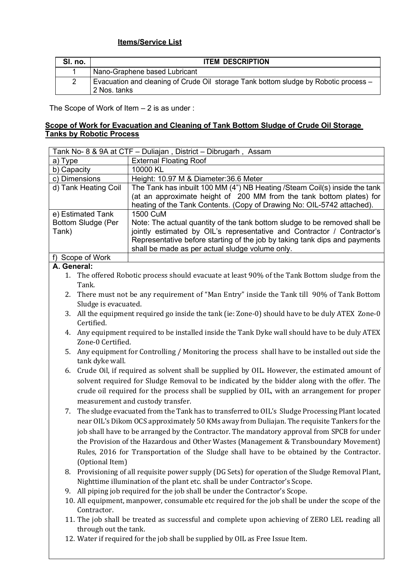### **Items/Service List**

| SI. no.        | <b>ITEM DESCRIPTION</b>                                                                              |
|----------------|------------------------------------------------------------------------------------------------------|
|                | Nano-Graphene based Lubricant                                                                        |
| $\overline{c}$ | Evacuation and cleaning of Crude Oil storage Tank bottom sludge by Robotic process -<br>2 Nos. tanks |

The Scope of Work of Item – 2 is as under :

#### **Scope of Work for Evacuation and Cleaning of Tank Bottom Sludge of Crude Oil Storage Tanks by Robotic Process**

| Tank No- 8 & 9A at CTF - Duliajan, District - Dibrugarh, Assam |                                                                             |  |  |  |
|----------------------------------------------------------------|-----------------------------------------------------------------------------|--|--|--|
| a) Type                                                        | <b>External Floating Roof</b>                                               |  |  |  |
| b) Capacity                                                    | 10000 KL                                                                    |  |  |  |
| c) Dimensions                                                  | Height: 10.97 M & Diameter: 36.6 Meter                                      |  |  |  |
| d) Tank Heating Coil                                           | The Tank has inbuilt 100 MM (4") NB Heating / Steam Coil(s) inside the tank |  |  |  |
|                                                                | (at an approximate height of 200 MM from the tank bottom plates) for        |  |  |  |
|                                                                | heating of the Tank Contents. (Copy of Drawing No: OIL-5742 attached).      |  |  |  |
| e) Estimated Tank                                              | 1500 CuM                                                                    |  |  |  |
| Bottom Sludge (Per                                             | Note: The actual quantity of the tank bottom sludge to be removed shall be  |  |  |  |
| Tank)                                                          | jointly estimated by OIL's representative and Contractor / Contractor's     |  |  |  |
|                                                                | Representative before starting of the job by taking tank dips and payments  |  |  |  |
|                                                                | shall be made as per actual sludge volume only.                             |  |  |  |
| Scope of Work                                                  |                                                                             |  |  |  |

### **A. General:**

1. The offered Robotic process should evacuate at least 90% of the Tank Bottom sludge from the Tank.

- 2. There must not be any requirement of "Man Entry" inside the Tank till 90% of Tank Bottom Sludge is evacuated.
- 3. All the equipment required go inside the tank (ie: Zone-0) should have to be duly ATEX Zone-0 Certified.
- 4. Any equipment required to be installed inside the Tank Dyke wall should have to be duly ATEX Zone-0 Certified.
- 5. Any equipment for Controlling / Monitoring the process shall have to be installed out side the tank dyke wall.
- 6. Crude Oil, if required as solvent shall be supplied by OIL. However, the estimated amount of solvent required for Sludge Removal to be indicated by the bidder along with the offer. The crude oil required for the process shall be supplied by OIL, with an arrangement for proper measurement and custody transfer.
- 7. The sludge evacuated from the Tank has to transferred to OIL's Sludge Processing Plant located near OIL's Dikom OCS approximately 50 KMs away from Duliajan. The requisite Tankers for the job shall have to be arranged by the Contractor. The mandatory approval from SPCB for under the Provision of the Hazardous and Other Wastes (Management & Transboundary Movement) Rules, 2016 for Transportation of the Sludge shall have to be obtained by the Contractor. (Optional Item)
- 8. Provisioning of all requisite power supply (DG Sets) for operation of the Sludge Removal Plant, Nighttime illumination of the plant etc. shall be under Contractor's Scope.
- 9. All piping job required for the job shall be under the Contractor's Scope.
- 10. All equipment, manpower, consumable etc required for the job shall be under the scope of the Contractor.
- 11. The job shall be treated as successful and complete upon achieving of ZERO LEL reading all through out the tank.
- 12. Water if required for the job shall be supplied by OIL as Free Issue Item.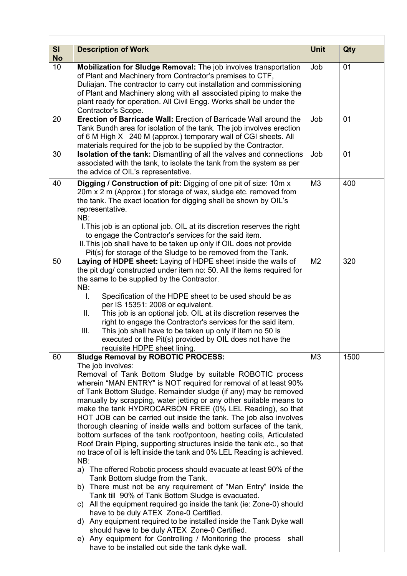| SI<br><b>No</b> | <b>Description of Work</b>                                                                                                                                                                                                                                                                                                                                                                                                                                                                                                                                                                                                                                                                                                                                                                                                                                                                                                                                                                                                                                                                                                                                                                                                                                                                                                                                                                          | <b>Unit</b>    | Qty  |
|-----------------|-----------------------------------------------------------------------------------------------------------------------------------------------------------------------------------------------------------------------------------------------------------------------------------------------------------------------------------------------------------------------------------------------------------------------------------------------------------------------------------------------------------------------------------------------------------------------------------------------------------------------------------------------------------------------------------------------------------------------------------------------------------------------------------------------------------------------------------------------------------------------------------------------------------------------------------------------------------------------------------------------------------------------------------------------------------------------------------------------------------------------------------------------------------------------------------------------------------------------------------------------------------------------------------------------------------------------------------------------------------------------------------------------------|----------------|------|
| 10              | Mobilization for Sludge Removal: The job involves transportation<br>of Plant and Machinery from Contractor's premises to CTF,<br>Duliajan. The contractor to carry out installation and commissioning<br>of Plant and Machinery along with all associated piping to make the<br>plant ready for operation. All Civil Engg. Works shall be under the<br>Contractor's Scope.                                                                                                                                                                                                                                                                                                                                                                                                                                                                                                                                                                                                                                                                                                                                                                                                                                                                                                                                                                                                                          | Job            | 01   |
| 20              | <b>Erection of Barricade Wall: Erection of Barricade Wall around the</b><br>Tank Bundh area for isolation of the tank. The job involves erection<br>of 6 M High X 240 M (approx.) temporary wall of CGI sheets. All<br>materials required for the job to be supplied by the Contractor.                                                                                                                                                                                                                                                                                                                                                                                                                                                                                                                                                                                                                                                                                                                                                                                                                                                                                                                                                                                                                                                                                                             | Job            | 01   |
| 30              | <b>Isolation of the tank:</b> Dismantling of all the valves and connections<br>associated with the tank, to isolate the tank from the system as per<br>the advice of OIL's representative.                                                                                                                                                                                                                                                                                                                                                                                                                                                                                                                                                                                                                                                                                                                                                                                                                                                                                                                                                                                                                                                                                                                                                                                                          | Job            | 01   |
| 40              | Digging / Construction of pit: Digging of one pit of size: 10m x<br>20m x 2 m (Approx.) for storage of wax, sludge etc. removed from<br>the tank. The exact location for digging shall be shown by OIL's<br>representative.<br>NB:<br>I. This job is an optional job. OIL at its discretion reserves the right<br>to engage the Contractor's services for the said item.<br>II. This job shall have to be taken up only if OIL does not provide<br>Pit(s) for storage of the Sludge to be removed from the Tank.                                                                                                                                                                                                                                                                                                                                                                                                                                                                                                                                                                                                                                                                                                                                                                                                                                                                                    | M3             | 400  |
| 50              | Laying of HDPE sheet: Laying of HDPE sheet inside the walls of<br>the pit dug/ constructed under item no: 50. All the items required for<br>the same to be supplied by the Contractor.<br>NB:<br>Specification of the HDPE sheet to be used should be as<br>L.<br>per IS 15351: 2008 or equivalent.<br>This job is an optional job. OIL at its discretion reserves the<br>Ш.<br>right to engage the Contractor's services for the said item.<br>This job shall have to be taken up only if item no 50 is<br>III.<br>executed or the Pit(s) provided by OIL does not have the<br>requisite HDPE sheet lining.                                                                                                                                                                                                                                                                                                                                                                                                                                                                                                                                                                                                                                                                                                                                                                                        | M <sub>2</sub> | 320  |
| 60              | <b>Sludge Removal by ROBOTIC PROCESS:</b><br>The job involves:<br>Removal of Tank Bottom Sludge by suitable ROBOTIC process<br>wherein "MAN ENTRY" is NOT required for removal of at least 90%<br>of Tank Bottom Sludge. Remainder sludge (if any) may be removed<br>manually by scrapping, water jetting or any other suitable means to<br>make the tank HYDROCARBON FREE (0% LEL Reading), so that<br>HOT JOB can be carried out inside the tank. The job also involves<br>thorough cleaning of inside walls and bottom surfaces of the tank,<br>bottom surfaces of the tank roof/pontoon, heating coils, Articulated<br>Roof Drain Piping, supporting structures inside the tank etc., so that<br>no trace of oil is left inside the tank and 0% LEL Reading is achieved.<br>NB:<br>The offered Robotic process should evacuate at least 90% of the<br>a)<br>Tank Bottom sludge from the Tank.<br>b) There must not be any requirement of "Man Entry" inside the<br>Tank till 90% of Tank Bottom Sludge is evacuated.<br>All the equipment required go inside the tank (ie: Zone-0) should<br>C)<br>have to be duly ATEX Zone-0 Certified.<br>Any equipment required to be installed inside the Tank Dyke wall<br>d)<br>should have to be duly ATEX Zone-0 Certified.<br>Any equipment for Controlling / Monitoring the process shall<br>e)<br>have to be installed out side the tank dyke wall. | M <sub>3</sub> | 1500 |